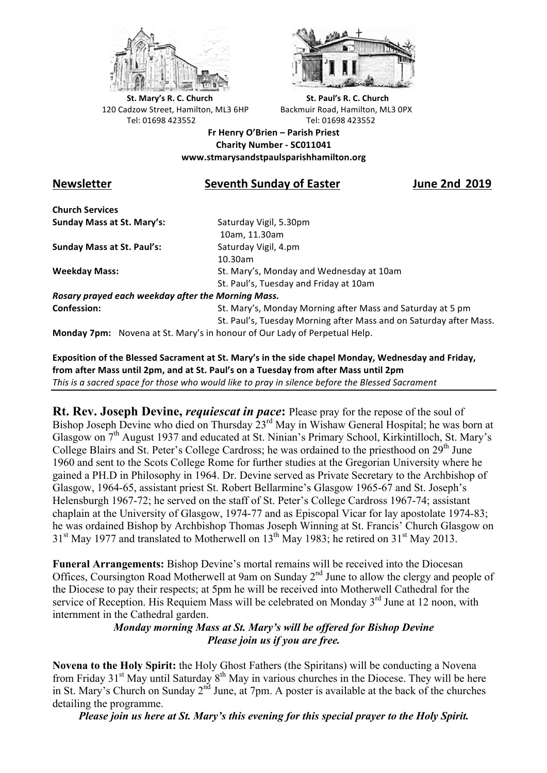



**St.** Mary's R. C. Church St. Paul's R. C. Church 120 Cadzow Street, Hamilton, ML3 6HP Backmuir Road, Hamilton, ML3 0PX Tel: 01698 423552 Tel: 01698 423552

**Fr Henry O'Brien – Parish Priest Charity Number - SC011041 www.stmarysandstpaulsparishhamilton.org**

## **Newsletter** Seventh Sunday of Easter *June* 2nd 2019

**Church Services Sunday Mass at St. Mary's:** Saturday Vigil, 5.30pm

**Sunday Mass at St. Paul's:** Saturday Vigil, 4.pm

 10am, 11.30am 10.30am **Weekday Mass:** St. Mary's, Monday and Wednesday at 10am St. Paul's, Tuesday and Friday at 10am

*Rosary prayed each weekday after the Morning Mass.* **Confession:** St. Mary's, Monday Morning after Mass and Saturday at 5 pm

St. Paul's, Tuesday Morning after Mass and on Saturday after Mass.

**Monday 7pm:** Novena at St. Mary's in honour of Our Lady of Perpetual Help.

**Exposition of the Blessed Sacrament at St. Mary's in the side chapel Monday, Wednesday and Friday,** from after Mass until 2pm, and at St. Paul's on a Tuesday from after Mass until 2pm *This* is a sacred space for those who would like to pray in silence before the Blessed Sacrament

**Rt. Rev. Joseph Devine,** *requiescat in pace***:** Please pray for the repose of the soul of Bishop Joseph Devine who died on Thursday 23<sup>rd</sup> May in Wishaw General Hospital; he was born at Glasgow on 7<sup>th</sup> August 1937 and educated at St. Ninian's Primary School, Kirkintilloch, St. Mary's College Blairs and St. Peter's College Cardross; he was ordained to the priesthood on 29<sup>th</sup> June 1960 and sent to the Scots College Rome for further studies at the Gregorian University where he gained a PH.D in Philosophy in 1964. Dr. Devine served as Private Secretary to the Archbishop of Glasgow, 1964-65, assistant priest St. Robert Bellarmine's Glasgow 1965-67 and St. Joseph's Helensburgh 1967-72; he served on the staff of St. Peter's College Cardross 1967-74; assistant chaplain at the University of Glasgow, 1974-77 and as Episcopal Vicar for lay apostolate 1974-83; he was ordained Bishop by Archbishop Thomas Joseph Winning at St. Francis' Church Glasgow on  $31<sup>st</sup>$  May 1977 and translated to Motherwell on  $13<sup>th</sup>$  May 1983; he retired on  $31<sup>st</sup>$  May 2013.

**Funeral Arrangements:** Bishop Devine's mortal remains will be received into the Diocesan Offices, Coursington Road Motherwell at 9am on Sunday 2<sup>nd</sup> June to allow the clergy and people of the Diocese to pay their respects; at 5pm he will be received into Motherwell Cathedral for the service of Reception. His Requiem Mass will be celebrated on Monday  $3<sup>rd</sup>$  June at 12 noon, with internment in the Cathedral garden.

## *Monday morning Mass at St. Mary's will be offered for Bishop Devine Please join us if you are free.*

**Novena to the Holy Spirit:** the Holy Ghost Fathers (the Spiritans) will be conducting a Novena from Friday  $31<sup>st</sup>$  May until Saturday  $8<sup>th</sup>$  May in various churches in the Diocese. They will be here in St. Mary's Church on Sunday 2nd June, at 7pm. A poster is available at the back of the churches detailing the programme.

*Please join us here at St. Mary's this evening for this special prayer to the Holy Spirit.*